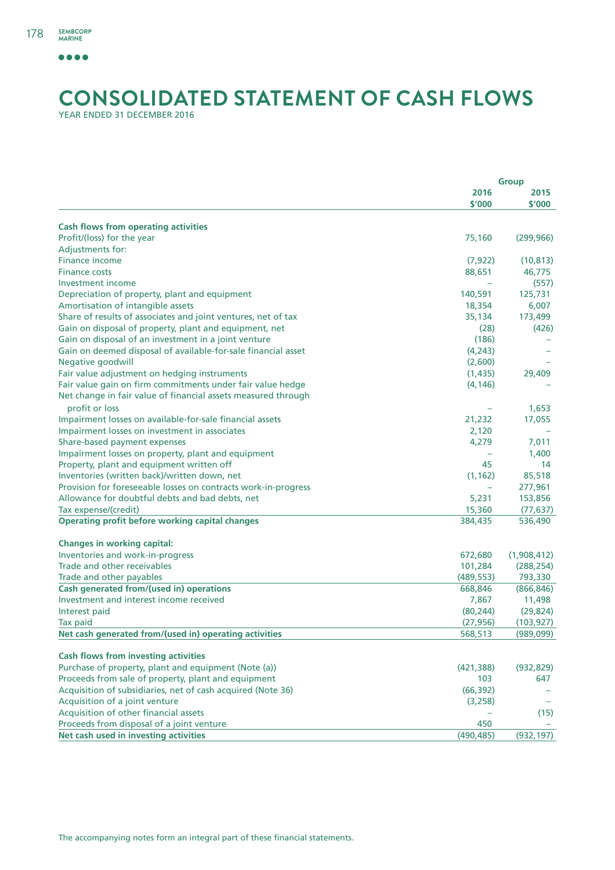## **CONSOLIDATED STATEMENT OF CASH FLOWS** YEAR ENDED 31 DECEMBER 2016

**Group 2016 2015 \$'000 \$'000 Cash flows from operating activities** Profit/(loss) for the year 75,160 (299,966) Adjustments for: Finance income (7,922) (10,813) Finance costs 88,651 46,775 Investment income – (557) Depreciation of property, plant and equipment 140,591 125,731 125,731 Amortisation of intangible assets 18,354 6,007 Share of results of associates and joint ventures, net of tax 35,134 35,134 173,499 Gain on disposal of property, plant and equipment, net (28) (426) (426) Gain on disposal of an investment in a joint venture (186) (186) Gain on deemed disposal of available-for-sale financial asset (4,243) Negative goodwill (2,600) – Fair value adjustment on hedging instruments (1,435) 29,409 Fair value gain on firm commitments under fair value hedge (4,146) – Net change in fair value of financial assets measured through profit or loss – 1,653 Impairment losses on available-for-sale financial assets 21,232 17,055 Impairment losses on investment in associates 2,120 – Share-based payment expenses and the state of the state of the state of the state of the state of the state of the state of the state of the state of the state of the state of the state of the state of the state of the sta Impairment losses on property, plant and equipment – 1,400 Property, plant and equipment written off 14 14 14 14 15 14 15 16 17 17 18 18 19 19 19 19 19 19 19 19 19 19 19 1 Inventories (written back)/written down, net (1,162) 85,518 Provision for foreseeable losses on contracts work-in-progress – 277,961 Allowance for doubtful debts and bad debts, net 5,231 153,856 Tax expense/(credit) 15,360 (77,637) **Operating profit before working capital changes** 384,435 384,435 536,490 **Changes in working capital:** Inventories and work-in-progress 672,680 (1,908,412) Trade and other receivables 101,284 (288,254) Trade and other payables (489,553) 793,330 **Cash generated from/(used in) operations** 668,846 (866,846) Investment and interest income received 7,867 11,498 Interest paid (80,244) (29,824) Tax paid (27,956) (103,927) **Net cash generated from/(used in) operating activities** 568,513 (989,099) **Cash flows from investing activities** Purchase of property, plant and equipment (Note (a)) (421,388) (932,829) Proceeds from sale of property, plant and equipment 103 647 Acquisition of subsidiaries, net of cash acquired (Note 36) (66,392) – Acquisition of a joint venture (3,258) – and the set of the set of the set of the set of the set of the set of the set of the set of the set of the set of the set of the set of the set of the set of the set of the set of t Acquisition of other financial assets – (15) Proceeds from disposal of a joint venture 450  $\sim$  450  $\sim$  450  $\sim$  450  $\sim$  450  $\sim$  450  $\sim$  450  $\sim$  450  $\sim$  450  $\sim$  450  $\sim$  450  $\sim$  450  $\sim$  450  $\sim$  450  $\sim$  450  $\sim$  450  $\sim$  450  $\sim$  450  $\sim$  450  $\sim$  450  $\sim$  **Net cash used in investing activities** (490,485) (932,197)